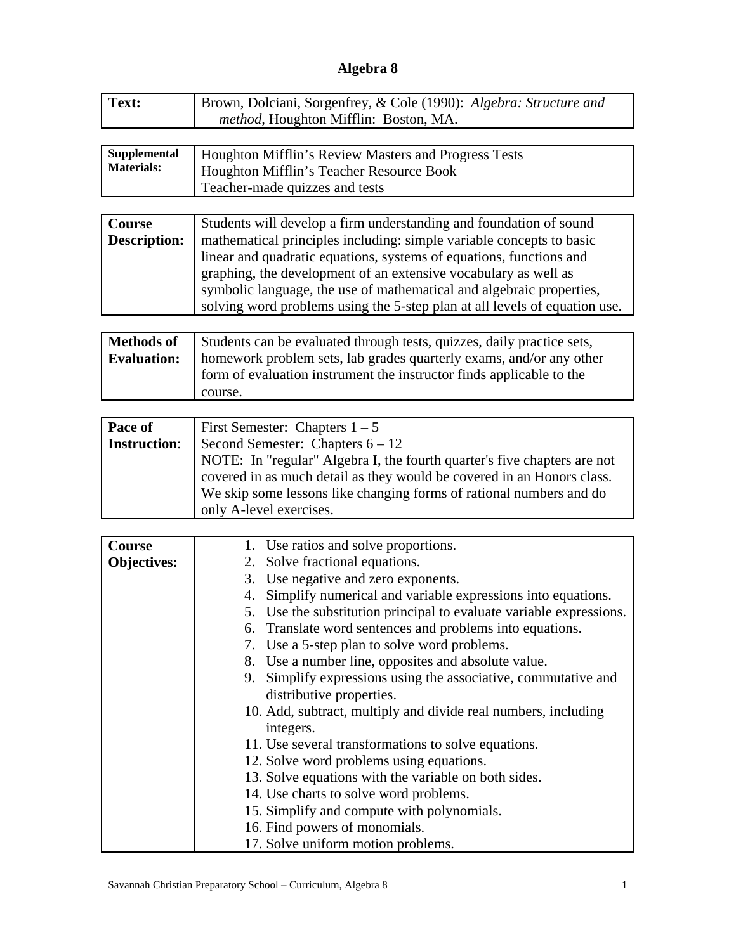## **Algebra 8**

| Text: | Brown, Dolciani, Sorgenfrey, & Cole (1990): Algebra: Structure and |
|-------|--------------------------------------------------------------------|
|       | <i>method</i> , Houghton Mifflin: Boston, MA.                      |
|       |                                                                    |

| Supplemental      | Houghton Mifflin's Review Masters and Progress Tests |
|-------------------|------------------------------------------------------|
| <b>Materials:</b> | Houghton Mifflin's Teacher Resource Book             |
|                   | Teacher-made quizzes and tests                       |

| Course              | Students will develop a firm understanding and foundation of sound         |
|---------------------|----------------------------------------------------------------------------|
| <b>Description:</b> | mathematical principles including: simple variable concepts to basic       |
|                     | linear and quadratic equations, systems of equations, functions and        |
|                     | graphing, the development of an extensive vocabulary as well as            |
|                     | symbolic language, the use of mathematical and algebraic properties,       |
|                     | solving word problems using the 5-step plan at all levels of equation use. |

| <b>Methods of</b>  | Students can be evaluated through tests, quizzes, daily practice sets, |
|--------------------|------------------------------------------------------------------------|
| <b>Evaluation:</b> | homework problem sets, lab grades quarterly exams, and/or any other    |
|                    | form of evaluation instrument the instructor finds applicable to the   |
|                    | course.                                                                |

| Pace of             | First Semester: Chapters $1 - 5$                                         |
|---------------------|--------------------------------------------------------------------------|
| <b>Instruction:</b> | Second Semester: Chapters $6 - 12$                                       |
|                     | NOTE: In "regular" Algebra I, the fourth quarter's five chapters are not |
|                     | covered in as much detail as they would be covered in an Honors class.   |
|                     | We skip some lessons like changing forms of rational numbers and do      |
|                     | only A-level exercises.                                                  |

| Course             | 1. Use ratios and solve proportions.                                   |
|--------------------|------------------------------------------------------------------------|
| <b>Objectives:</b> | 2. Solve fractional equations.                                         |
|                    | 3. Use negative and zero exponents.                                    |
|                    | Simplify numerical and variable expressions into equations.<br>4.      |
|                    | Use the substitution principal to evaluate variable expressions.<br>5. |
|                    | Translate word sentences and problems into equations.<br>6.            |
|                    | 7. Use a 5-step plan to solve word problems.                           |
|                    | 8. Use a number line, opposites and absolute value.                    |
|                    | 9. Simplify expressions using the associative, commutative and         |
|                    | distributive properties.                                               |
|                    | 10. Add, subtract, multiply and divide real numbers, including         |
|                    | integers.                                                              |
|                    | 11. Use several transformations to solve equations.                    |
|                    | 12. Solve word problems using equations.                               |
|                    | 13. Solve equations with the variable on both sides.                   |
|                    | 14. Use charts to solve word problems.                                 |
|                    | 15. Simplify and compute with polynomials.                             |
|                    | 16. Find powers of monomials.                                          |
|                    | 17. Solve uniform motion problems.                                     |